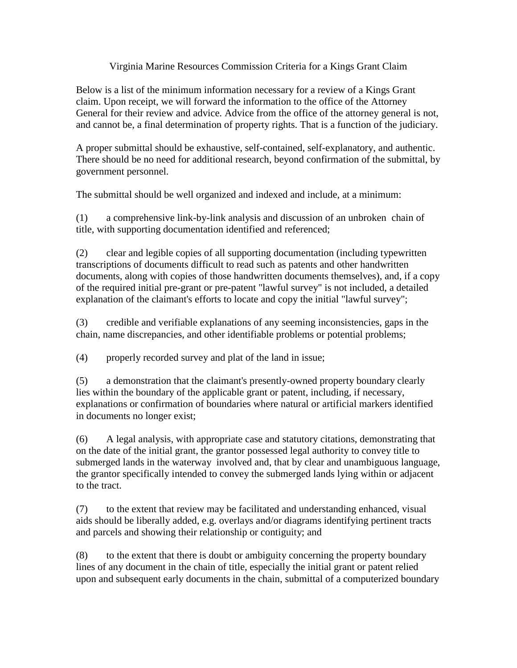## Virginia Marine Resources Commission Criteria for a Kings Grant Claim

Below is a list of the minimum information necessary for a review of a Kings Grant claim. Upon receipt, we will forward the information to the office of the Attorney General for their review and advice. Advice from the office of the attorney general is not, and cannot be, a final determination of property rights. That is a function of the judiciary.

A proper submittal should be exhaustive, self-contained, self-explanatory, and authentic. There should be no need for additional research, beyond confirmation of the submittal, by government personnel.

The submittal should be well organized and indexed and include, at a minimum:

(1) a comprehensive link-by-link analysis and discussion of an unbroken chain of title, with supporting documentation identified and referenced;

(2) clear and legible copies of all supporting documentation (including typewritten transcriptions of documents difficult to read such as patents and other handwritten documents, along with copies of those handwritten documents themselves), and, if a copy of the required initial pre-grant or pre-patent "lawful survey" is not included, a detailed explanation of the claimant's efforts to locate and copy the initial "lawful survey";

(3) credible and verifiable explanations of any seeming inconsistencies, gaps in the chain, name discrepancies, and other identifiable problems or potential problems;

(4) properly recorded survey and plat of the land in issue;

(5) a demonstration that the claimant's presently-owned property boundary clearly lies within the boundary of the applicable grant or patent, including, if necessary, explanations or confirmation of boundaries where natural or artificial markers identified in documents no longer exist;

(6) A legal analysis, with appropriate case and statutory citations, demonstrating that on the date of the initial grant, the grantor possessed legal authority to convey title to submerged lands in the waterway involved and, that by clear and unambiguous language, the grantor specifically intended to convey the submerged lands lying within or adjacent to the tract.

(7) to the extent that review may be facilitated and understanding enhanced, visual aids should be liberally added, e.g. overlays and/or diagrams identifying pertinent tracts and parcels and showing their relationship or contiguity; and

(8) to the extent that there is doubt or ambiguity concerning the property boundary lines of any document in the chain of title, especially the initial grant or patent relied upon and subsequent early documents in the chain, submittal of a computerized boundary